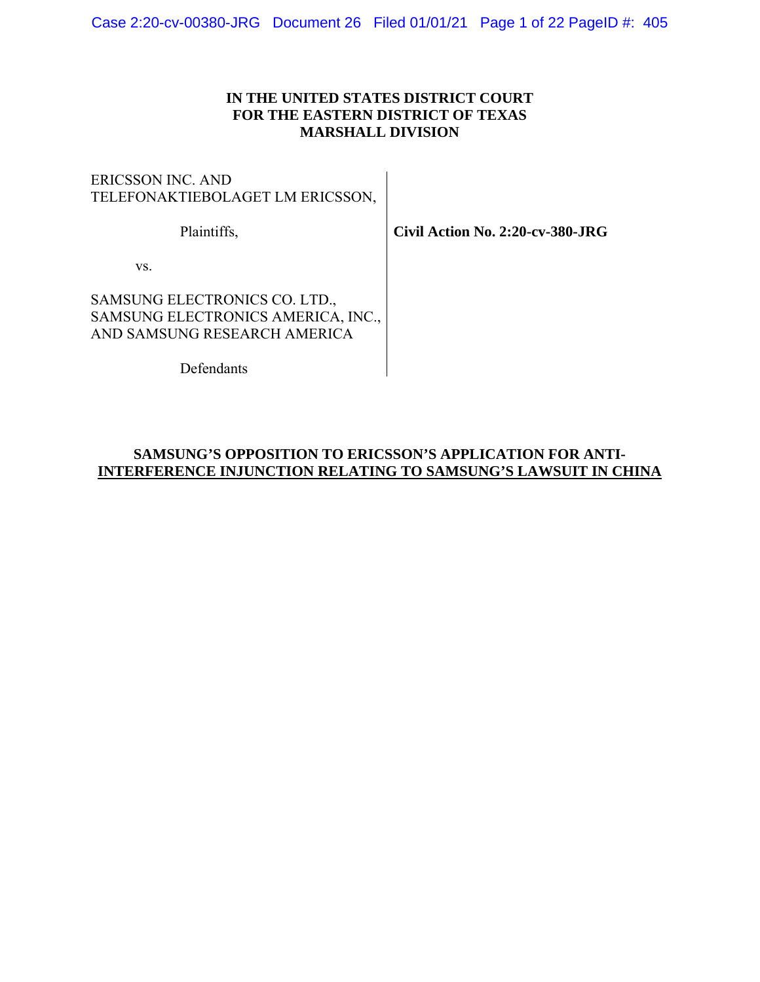## **IN THE UNITED STATES DISTRICT COURT FOR THE EASTERN DISTRICT OF TEXAS MARSHALL DIVISION**

ERICSSON INC. AND TELEFONAKTIEBOLAGET LM ERICSSON,

Plaintiffs,

**Civil Action No. 2:20-cv-380-JRG** 

vs.

SAMSUNG ELECTRONICS CO. LTD., SAMSUNG ELECTRONICS AMERICA, INC., AND SAMSUNG RESEARCH AMERICA

Defendants

## **SAMSUNG'S OPPOSITION TO ERICSSON'S APPLICATION FOR ANTI-INTERFERENCE INJUNCTION RELATING TO SAMSUNG'S LAWSUIT IN CHINA**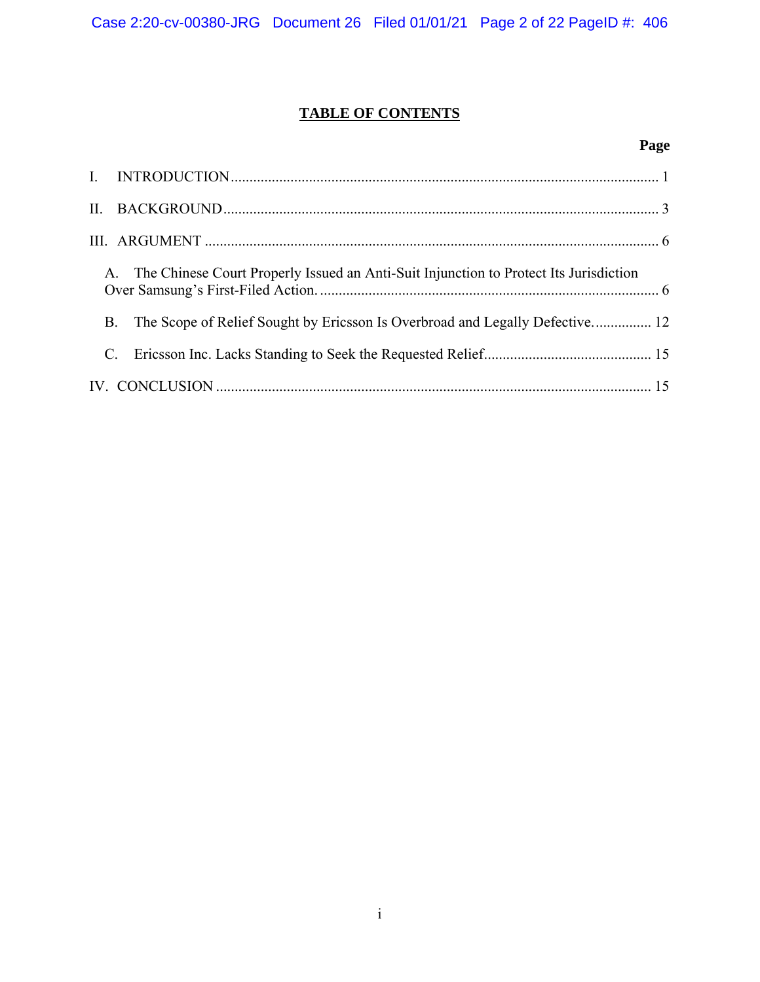# **TABLE OF CONTENTS**

## **Page**

|  | A. The Chinese Court Properly Issued an Anti-Suit Injunction to Protect Its Jurisdiction |  |  |
|--|------------------------------------------------------------------------------------------|--|--|
|  | The Scope of Relief Sought by Ericsson Is Overbroad and Legally Defective 12<br>B.       |  |  |
|  |                                                                                          |  |  |
|  |                                                                                          |  |  |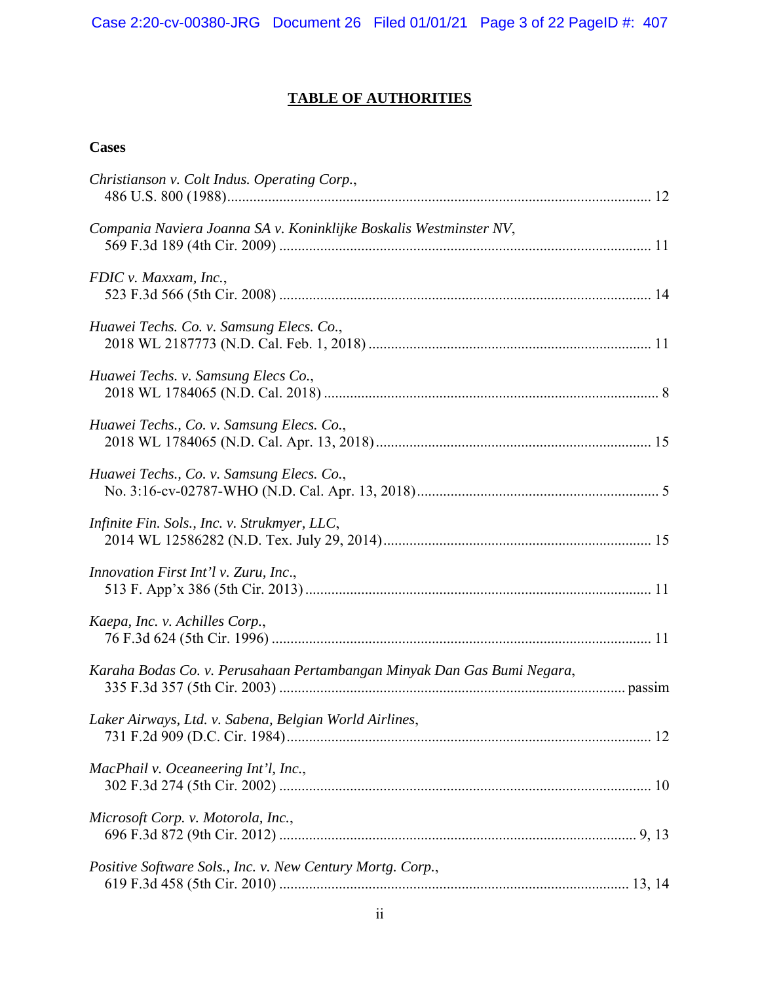# **TABLE OF AUTHORITIES**

# **Cases**

| Christianson v. Colt Indus. Operating Corp.,                            |
|-------------------------------------------------------------------------|
| Compania Naviera Joanna SA v. Koninklijke Boskalis Westminster NV,      |
| FDIC v. Maxxam, Inc.,                                                   |
| Huawei Techs. Co. v. Samsung Elecs. Co.,                                |
| Huawei Techs. v. Samsung Elecs Co.,                                     |
| Huawei Techs., Co. v. Samsung Elecs. Co.,                               |
| Huawei Techs., Co. v. Samsung Elecs. Co.,                               |
| Infinite Fin. Sols., Inc. v. Strukmyer, LLC,                            |
| Innovation First Int'l v. Zuru, Inc.,                                   |
| Kaepa, Inc. v. Achilles Corp.,                                          |
| Karaha Bodas Co. v. Perusahaan Pertambangan Minyak Dan Gas Bumi Negara, |
| Laker Airways, Ltd. v. Sabena, Belgian World Airlines,                  |
| MacPhail v. Oceaneering Int'l, Inc.,                                    |
| Microsoft Corp. v. Motorola, Inc.,                                      |
| Positive Software Sols., Inc. v. New Century Mortg. Corp.,              |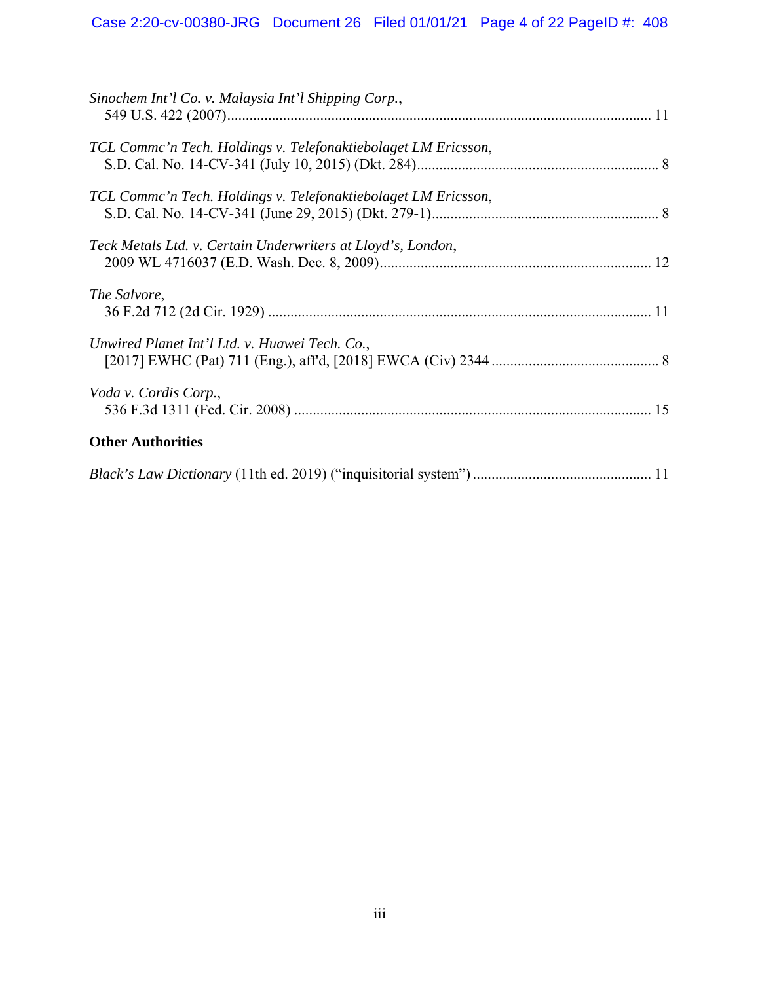# Case 2:20-cv-00380-JRG Document 26 Filed 01/01/21 Page 4 of 22 PageID #: 408

| Sinochem Int'l Co. v. Malaysia Int'l Shipping Corp.,           |  |
|----------------------------------------------------------------|--|
| TCL Commc'n Tech. Holdings v. Telefonaktiebolaget LM Ericsson, |  |
| TCL Comme'n Tech. Holdings v. Telefonaktiebolaget LM Ericsson, |  |
| Teck Metals Ltd. v. Certain Underwriters at Lloyd's, London,   |  |
| The Salvore,                                                   |  |
| Unwired Planet Int'l Ltd. v. Huawei Tech. Co.,                 |  |
| Voda v. Cordis Corp.,                                          |  |
| <b>Other Authorities</b>                                       |  |
|                                                                |  |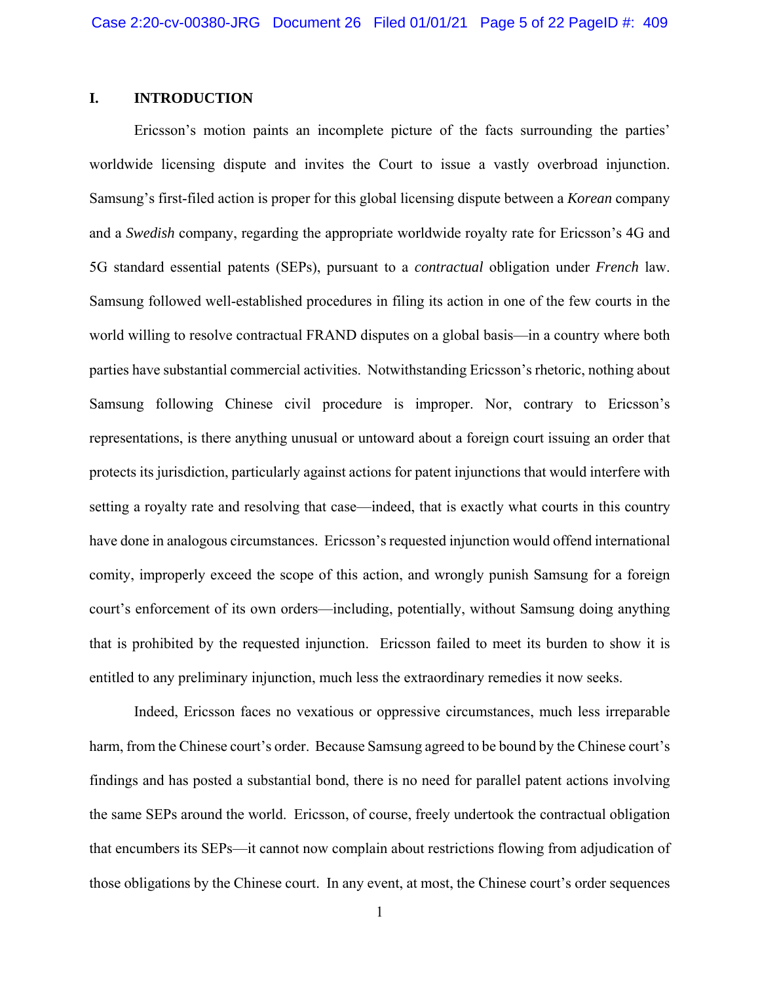## **I. INTRODUCTION**

 Ericsson's motion paints an incomplete picture of the facts surrounding the parties' worldwide licensing dispute and invites the Court to issue a vastly overbroad injunction. Samsung's first-filed action is proper for this global licensing dispute between a *Korean* company and a *Swedish* company, regarding the appropriate worldwide royalty rate for Ericsson's 4G and 5G standard essential patents (SEPs), pursuant to a *contractual* obligation under *French* law. Samsung followed well-established procedures in filing its action in one of the few courts in the world willing to resolve contractual FRAND disputes on a global basis—in a country where both parties have substantial commercial activities. Notwithstanding Ericsson's rhetoric, nothing about Samsung following Chinese civil procedure is improper. Nor, contrary to Ericsson's representations, is there anything unusual or untoward about a foreign court issuing an order that protects its jurisdiction, particularly against actions for patent injunctions that would interfere with setting a royalty rate and resolving that case—indeed, that is exactly what courts in this country have done in analogous circumstances. Ericsson's requested injunction would offend international comity, improperly exceed the scope of this action, and wrongly punish Samsung for a foreign court's enforcement of its own orders—including, potentially, without Samsung doing anything that is prohibited by the requested injunction. Ericsson failed to meet its burden to show it is entitled to any preliminary injunction, much less the extraordinary remedies it now seeks.

 Indeed, Ericsson faces no vexatious or oppressive circumstances, much less irreparable harm, from the Chinese court's order. Because Samsung agreed to be bound by the Chinese court's findings and has posted a substantial bond, there is no need for parallel patent actions involving the same SEPs around the world. Ericsson, of course, freely undertook the contractual obligation that encumbers its SEPs—it cannot now complain about restrictions flowing from adjudication of those obligations by the Chinese court. In any event, at most, the Chinese court's order sequences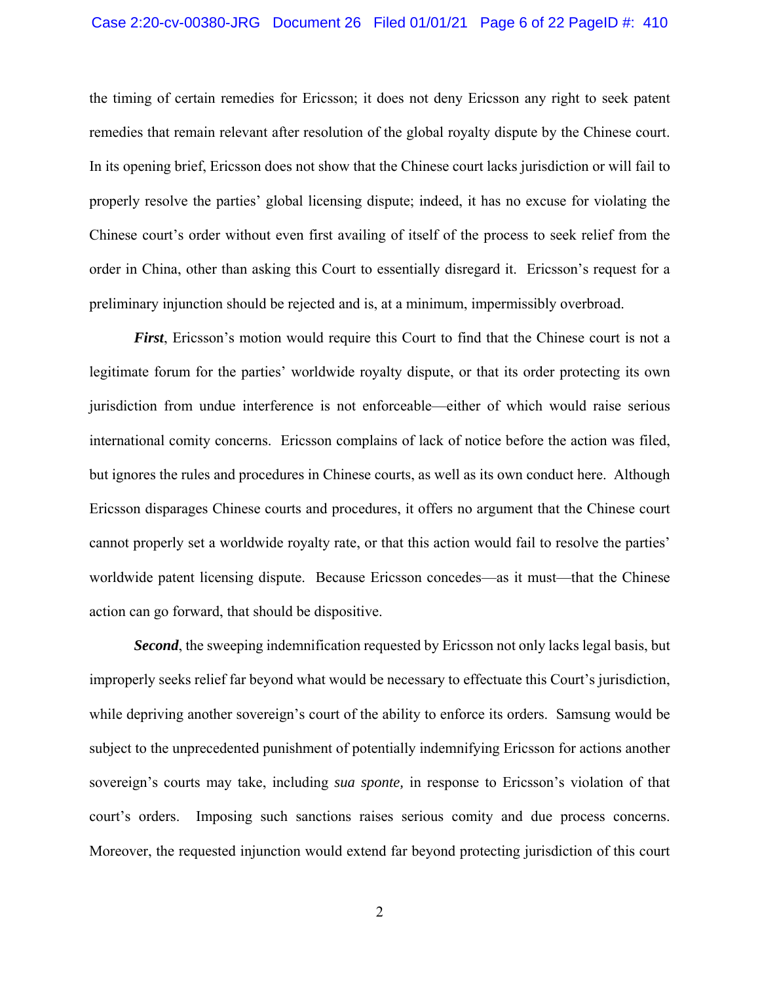#### Case 2:20-cv-00380-JRG Document 26 Filed 01/01/21 Page 6 of 22 PageID #: 410

the timing of certain remedies for Ericsson; it does not deny Ericsson any right to seek patent remedies that remain relevant after resolution of the global royalty dispute by the Chinese court. In its opening brief, Ericsson does not show that the Chinese court lacks jurisdiction or will fail to properly resolve the parties' global licensing dispute; indeed, it has no excuse for violating the Chinese court's order without even first availing of itself of the process to seek relief from the order in China, other than asking this Court to essentially disregard it. Ericsson's request for a preliminary injunction should be rejected and is, at a minimum, impermissibly overbroad.

*First*, Ericsson's motion would require this Court to find that the Chinese court is not a legitimate forum for the parties' worldwide royalty dispute, or that its order protecting its own jurisdiction from undue interference is not enforceable—either of which would raise serious international comity concerns. Ericsson complains of lack of notice before the action was filed, but ignores the rules and procedures in Chinese courts, as well as its own conduct here. Although Ericsson disparages Chinese courts and procedures, it offers no argument that the Chinese court cannot properly set a worldwide royalty rate, or that this action would fail to resolve the parties' worldwide patent licensing dispute. Because Ericsson concedes—as it must—that the Chinese action can go forward, that should be dispositive.

*Second*, the sweeping indemnification requested by Ericsson not only lacks legal basis, but improperly seeks relief far beyond what would be necessary to effectuate this Court's jurisdiction, while depriving another sovereign's court of the ability to enforce its orders. Samsung would be subject to the unprecedented punishment of potentially indemnifying Ericsson for actions another sovereign's courts may take, including *sua sponte,* in response to Ericsson's violation of that court's orders. Imposing such sanctions raises serious comity and due process concerns. Moreover, the requested injunction would extend far beyond protecting jurisdiction of this court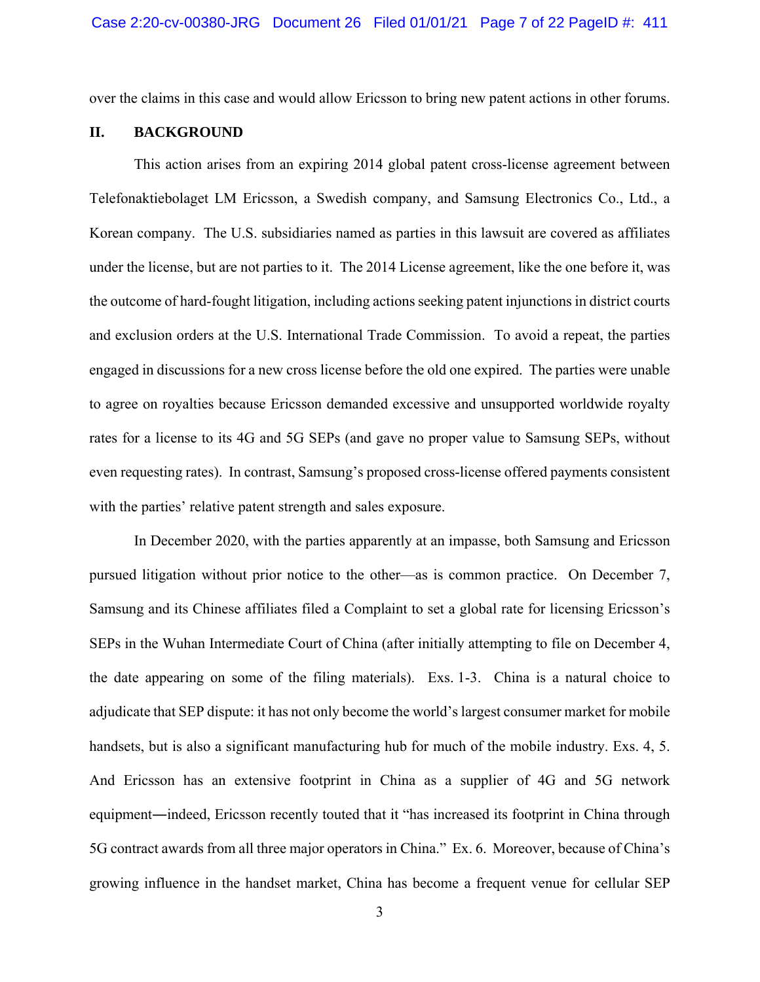over the claims in this case and would allow Ericsson to bring new patent actions in other forums.

#### **II. BACKGROUND**

 This action arises from an expiring 2014 global patent cross-license agreement between Telefonaktiebolaget LM Ericsson, a Swedish company, and Samsung Electronics Co., Ltd., a Korean company. The U.S. subsidiaries named as parties in this lawsuit are covered as affiliates under the license, but are not parties to it. The 2014 License agreement, like the one before it, was the outcome of hard-fought litigation, including actions seeking patent injunctions in district courts and exclusion orders at the U.S. International Trade Commission. To avoid a repeat, the parties engaged in discussions for a new cross license before the old one expired. The parties were unable to agree on royalties because Ericsson demanded excessive and unsupported worldwide royalty rates for a license to its 4G and 5G SEPs (and gave no proper value to Samsung SEPs, without even requesting rates). In contrast, Samsung's proposed cross-license offered payments consistent with the parties' relative patent strength and sales exposure.

 In December 2020, with the parties apparently at an impasse, both Samsung and Ericsson pursued litigation without prior notice to the other—as is common practice. On December 7, Samsung and its Chinese affiliates filed a Complaint to set a global rate for licensing Ericsson's SEPs in the Wuhan Intermediate Court of China (after initially attempting to file on December 4, the date appearing on some of the filing materials). Exs. 1-3. China is a natural choice to adjudicate that SEP dispute: it has not only become the world's largest consumer market for mobile handsets, but is also a significant manufacturing hub for much of the mobile industry. Exs. 4, 5. And Ericsson has an extensive footprint in China as a supplier of 4G and 5G network equipment―indeed, Ericsson recently touted that it "has increased its footprint in China through 5G contract awards from all three major operators in China." Ex. 6. Moreover, because of China's growing influence in the handset market, China has become a frequent venue for cellular SEP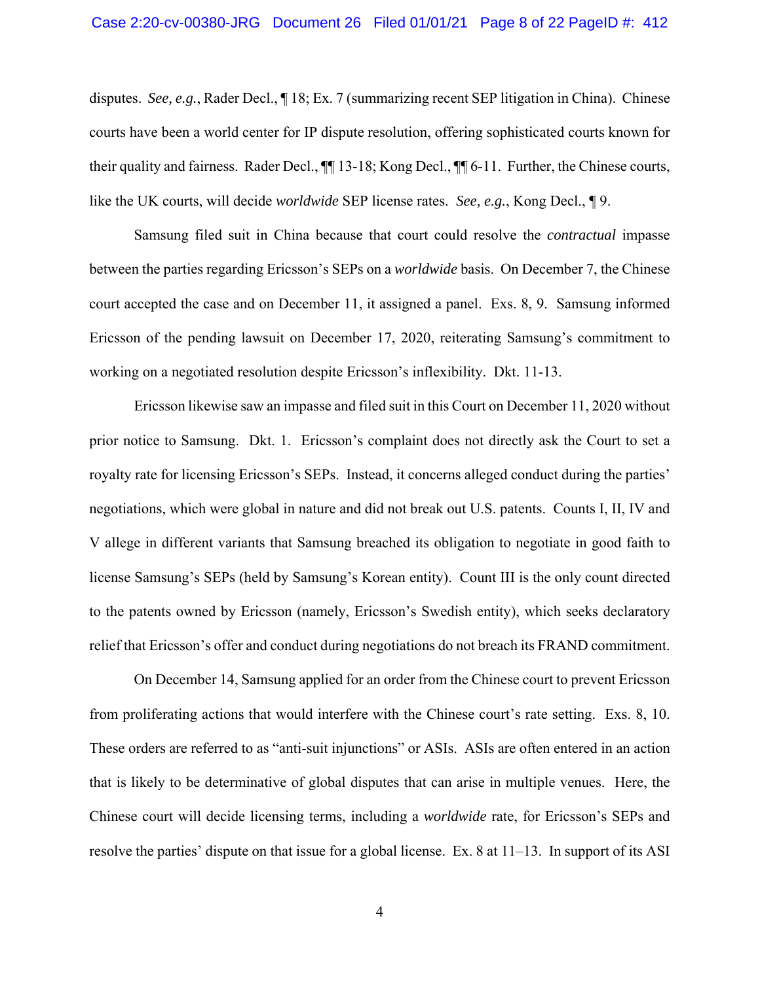disputes. *See, e.g.*, Rader Decl., ¶ 18; Ex. 7 (summarizing recent SEP litigation in China). Chinese courts have been a world center for IP dispute resolution, offering sophisticated courts known for their quality and fairness. Rader Decl., ¶¶ 13-18; Kong Decl., ¶¶ 6-11. Further, the Chinese courts, like the UK courts, will decide *worldwide* SEP license rates. *See, e.g.*, Kong Decl., ¶ 9.

 Samsung filed suit in China because that court could resolve the *contractual* impasse between the parties regarding Ericsson's SEPs on a *worldwide* basis. On December 7, the Chinese court accepted the case and on December 11, it assigned a panel. Exs. 8, 9. Samsung informed Ericsson of the pending lawsuit on December 17, 2020, reiterating Samsung's commitment to working on a negotiated resolution despite Ericsson's inflexibility. Dkt. 11-13.

 Ericsson likewise saw an impasse and filed suit in this Court on December 11, 2020 without prior notice to Samsung. Dkt. 1. Ericsson's complaint does not directly ask the Court to set a royalty rate for licensing Ericsson's SEPs. Instead, it concerns alleged conduct during the parties' negotiations, which were global in nature and did not break out U.S. patents. Counts I, II, IV and V allege in different variants that Samsung breached its obligation to negotiate in good faith to license Samsung's SEPs (held by Samsung's Korean entity). Count III is the only count directed to the patents owned by Ericsson (namely, Ericsson's Swedish entity), which seeks declaratory relief that Ericsson's offer and conduct during negotiations do not breach its FRAND commitment.

 On December 14, Samsung applied for an order from the Chinese court to prevent Ericsson from proliferating actions that would interfere with the Chinese court's rate setting. Exs. 8, 10. These orders are referred to as "anti-suit injunctions" or ASIs. ASIs are often entered in an action that is likely to be determinative of global disputes that can arise in multiple venues. Here, the Chinese court will decide licensing terms, including a *worldwide* rate, for Ericsson's SEPs and resolve the parties' dispute on that issue for a global license. Ex. 8 at 11–13. In support of its ASI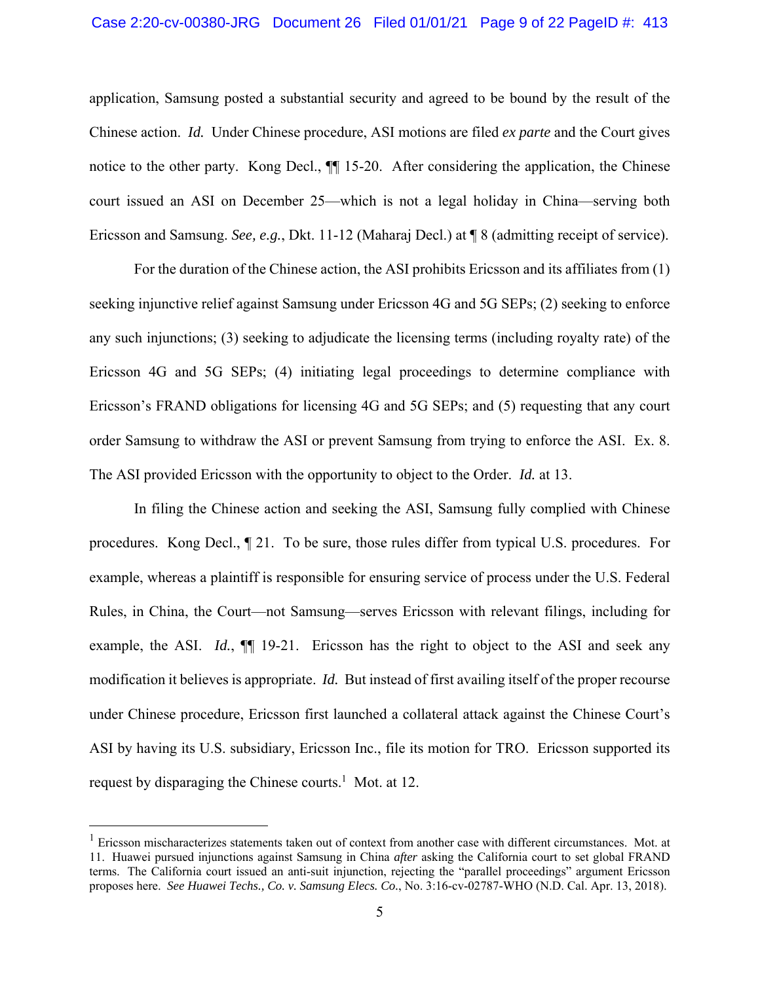#### Case 2:20-cv-00380-JRG Document 26 Filed 01/01/21 Page 9 of 22 PageID #: 413

application, Samsung posted a substantial security and agreed to be bound by the result of the Chinese action. *Id.* Under Chinese procedure, ASI motions are filed *ex parte* and the Court gives notice to the other party. Kong Decl., ¶¶ 15-20. After considering the application, the Chinese court issued an ASI on December 25—which is not a legal holiday in China—serving both Ericsson and Samsung. *See, e.g.*, Dkt. 11-12 (Maharaj Decl.) at ¶ 8 (admitting receipt of service).

 For the duration of the Chinese action, the ASI prohibits Ericsson and its affiliates from (1) seeking injunctive relief against Samsung under Ericsson 4G and 5G SEPs; (2) seeking to enforce any such injunctions; (3) seeking to adjudicate the licensing terms (including royalty rate) of the Ericsson 4G and 5G SEPs; (4) initiating legal proceedings to determine compliance with Ericsson's FRAND obligations for licensing 4G and 5G SEPs; and (5) requesting that any court order Samsung to withdraw the ASI or prevent Samsung from trying to enforce the ASI. Ex. 8. The ASI provided Ericsson with the opportunity to object to the Order. *Id.* at 13.

 In filing the Chinese action and seeking the ASI, Samsung fully complied with Chinese procedures. Kong Decl., ¶ 21. To be sure, those rules differ from typical U.S. procedures. For example, whereas a plaintiff is responsible for ensuring service of process under the U.S. Federal Rules, in China, the Court—not Samsung—serves Ericsson with relevant filings, including for example, the ASI. *Id.*, ¶¶ 19-21. Ericsson has the right to object to the ASI and seek any modification it believes is appropriate. *Id.* But instead of first availing itself of the proper recourse under Chinese procedure, Ericsson first launched a collateral attack against the Chinese Court's ASI by having its U.S. subsidiary, Ericsson Inc., file its motion for TRO. Ericsson supported its request by disparaging the Chinese courts.<sup>1</sup> Mot. at 12.

<u>.</u>

<sup>&</sup>lt;sup>1</sup> Ericsson mischaracterizes statements taken out of context from another case with different circumstances. Mot. at 11. Huawei pursued injunctions against Samsung in China *after* asking the California court to set global FRAND terms. The California court issued an anti-suit injunction, rejecting the "parallel proceedings" argument Ericsson proposes here. *See Huawei Techs., Co. v. Samsung Elecs. Co.*, No. 3:16-cv-02787-WHO (N.D. Cal. Apr. 13, 2018).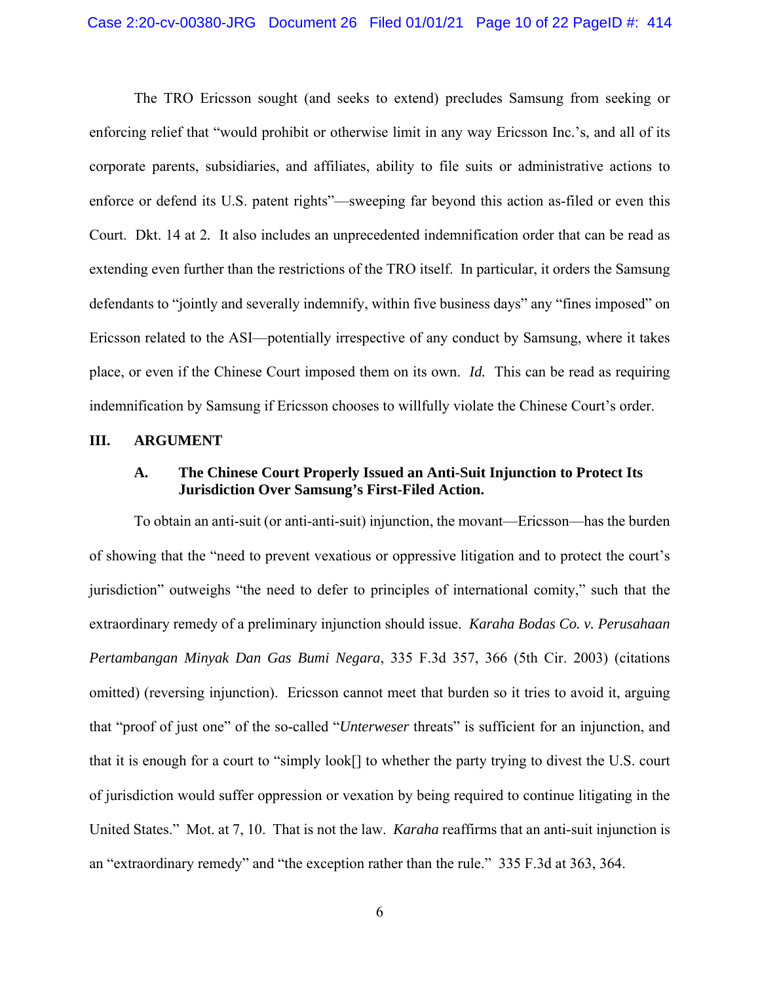The TRO Ericsson sought (and seeks to extend) precludes Samsung from seeking or enforcing relief that "would prohibit or otherwise limit in any way Ericsson Inc.'s, and all of its corporate parents, subsidiaries, and affiliates, ability to file suits or administrative actions to enforce or defend its U.S. patent rights"—sweeping far beyond this action as-filed or even this Court. Dkt. 14 at 2*.* It also includes an unprecedented indemnification order that can be read as extending even further than the restrictions of the TRO itself. In particular, it orders the Samsung defendants to "jointly and severally indemnify, within five business days" any "fines imposed" on Ericsson related to the ASI—potentially irrespective of any conduct by Samsung, where it takes place, or even if the Chinese Court imposed them on its own. *Id.* This can be read as requiring indemnification by Samsung if Ericsson chooses to willfully violate the Chinese Court's order.

#### **III. ARGUMENT**

## **A. The Chinese Court Properly Issued an Anti-Suit Injunction to Protect Its Jurisdiction Over Samsung's First-Filed Action.**

To obtain an anti-suit (or anti-anti-suit) injunction, the movant—Ericsson—has the burden of showing that the "need to prevent vexatious or oppressive litigation and to protect the court's jurisdiction" outweighs "the need to defer to principles of international comity," such that the extraordinary remedy of a preliminary injunction should issue. *Karaha Bodas Co. v. Perusahaan Pertambangan Minyak Dan Gas Bumi Negara*, 335 F.3d 357, 366 (5th Cir. 2003) (citations omitted) (reversing injunction). Ericsson cannot meet that burden so it tries to avoid it, arguing that "proof of just one" of the so-called "*Unterweser* threats" is sufficient for an injunction, and that it is enough for a court to "simply look[] to whether the party trying to divest the U.S. court of jurisdiction would suffer oppression or vexation by being required to continue litigating in the United States." Mot. at 7, 10. That is not the law. *Karaha* reaffirms that an anti-suit injunction is an "extraordinary remedy" and "the exception rather than the rule." 335 F.3d at 363, 364.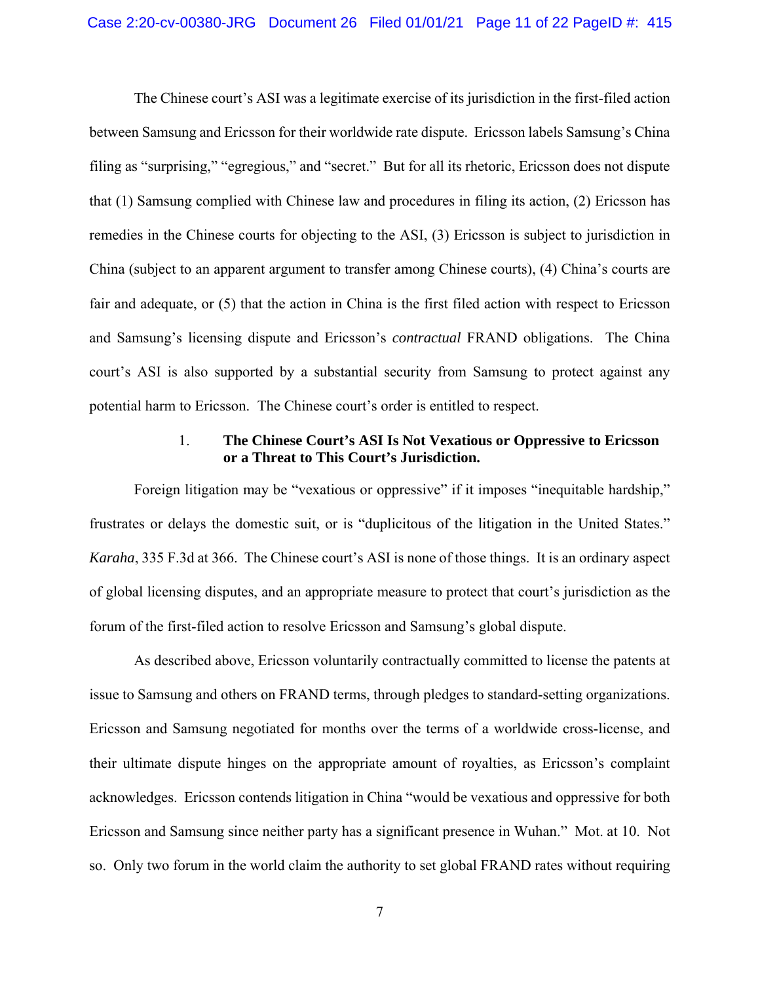The Chinese court's ASI was a legitimate exercise of its jurisdiction in the first-filed action between Samsung and Ericsson for their worldwide rate dispute. Ericsson labels Samsung's China filing as "surprising," "egregious," and "secret." But for all its rhetoric, Ericsson does not dispute that (1) Samsung complied with Chinese law and procedures in filing its action, (2) Ericsson has remedies in the Chinese courts for objecting to the ASI, (3) Ericsson is subject to jurisdiction in China (subject to an apparent argument to transfer among Chinese courts), (4) China's courts are fair and adequate, or (5) that the action in China is the first filed action with respect to Ericsson and Samsung's licensing dispute and Ericsson's *contractual* FRAND obligations. The China court's ASI is also supported by a substantial security from Samsung to protect against any potential harm to Ericsson. The Chinese court's order is entitled to respect.

## 1. **The Chinese Court's ASI Is Not Vexatious or Oppressive to Ericsson or a Threat to This Court's Jurisdiction.**

Foreign litigation may be "vexatious or oppressive" if it imposes "inequitable hardship," frustrates or delays the domestic suit, or is "duplicitous of the litigation in the United States." *Karaha*, 335 F.3d at 366. The Chinese court's ASI is none of those things. It is an ordinary aspect of global licensing disputes, and an appropriate measure to protect that court's jurisdiction as the forum of the first-filed action to resolve Ericsson and Samsung's global dispute.

As described above, Ericsson voluntarily contractually committed to license the patents at issue to Samsung and others on FRAND terms, through pledges to standard-setting organizations. Ericsson and Samsung negotiated for months over the terms of a worldwide cross-license, and their ultimate dispute hinges on the appropriate amount of royalties, as Ericsson's complaint acknowledges. Ericsson contends litigation in China "would be vexatious and oppressive for both Ericsson and Samsung since neither party has a significant presence in Wuhan." Mot. at 10. Not so. Only two forum in the world claim the authority to set global FRAND rates without requiring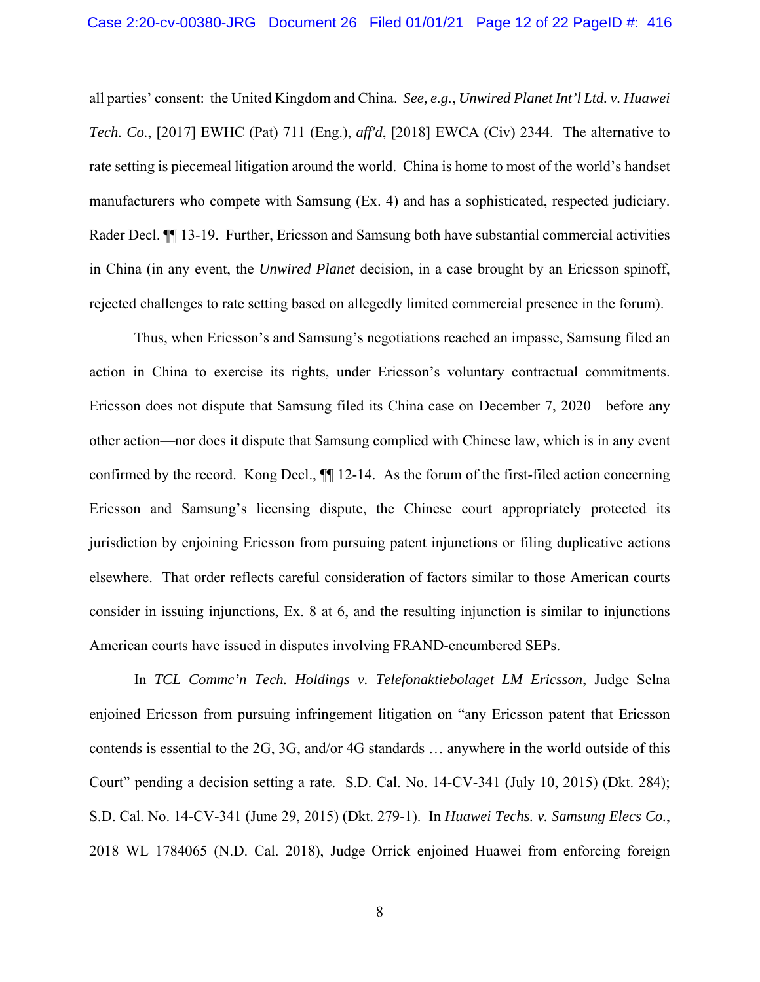all parties' consent: the United Kingdom and China. *See, e.g.*, *Unwired Planet Int'l Ltd. v. Huawei Tech. Co.*, [2017] EWHC (Pat) 711 (Eng.), *aff'd*, [2018] EWCA (Civ) 2344. The alternative to rate setting is piecemeal litigation around the world. China is home to most of the world's handset manufacturers who compete with Samsung (Ex. 4) and has a sophisticated, respected judiciary. Rader Decl. ¶¶ 13-19. Further, Ericsson and Samsung both have substantial commercial activities in China (in any event, the *Unwired Planet* decision, in a case brought by an Ericsson spinoff, rejected challenges to rate setting based on allegedly limited commercial presence in the forum).

Thus, when Ericsson's and Samsung's negotiations reached an impasse, Samsung filed an action in China to exercise its rights, under Ericsson's voluntary contractual commitments. Ericsson does not dispute that Samsung filed its China case on December 7, 2020—before any other action—nor does it dispute that Samsung complied with Chinese law, which is in any event confirmed by the record. Kong Decl.,  $\P$  12-14. As the forum of the first-filed action concerning Ericsson and Samsung's licensing dispute, the Chinese court appropriately protected its jurisdiction by enjoining Ericsson from pursuing patent injunctions or filing duplicative actions elsewhere. That order reflects careful consideration of factors similar to those American courts consider in issuing injunctions, Ex. 8 at 6, and the resulting injunction is similar to injunctions American courts have issued in disputes involving FRAND-encumbered SEPs.

In *TCL Commc'n Tech. Holdings v. Telefonaktiebolaget LM Ericsson*, Judge Selna enjoined Ericsson from pursuing infringement litigation on "any Ericsson patent that Ericsson contends is essential to the 2G, 3G, and/or 4G standards … anywhere in the world outside of this Court" pending a decision setting a rate. S.D. Cal. No. 14-CV-341 (July 10, 2015) (Dkt. 284); S.D. Cal. No. 14-CV-341 (June 29, 2015) (Dkt. 279-1). In *Huawei Techs. v. Samsung Elecs Co.*, 2018 WL 1784065 (N.D. Cal. 2018), Judge Orrick enjoined Huawei from enforcing foreign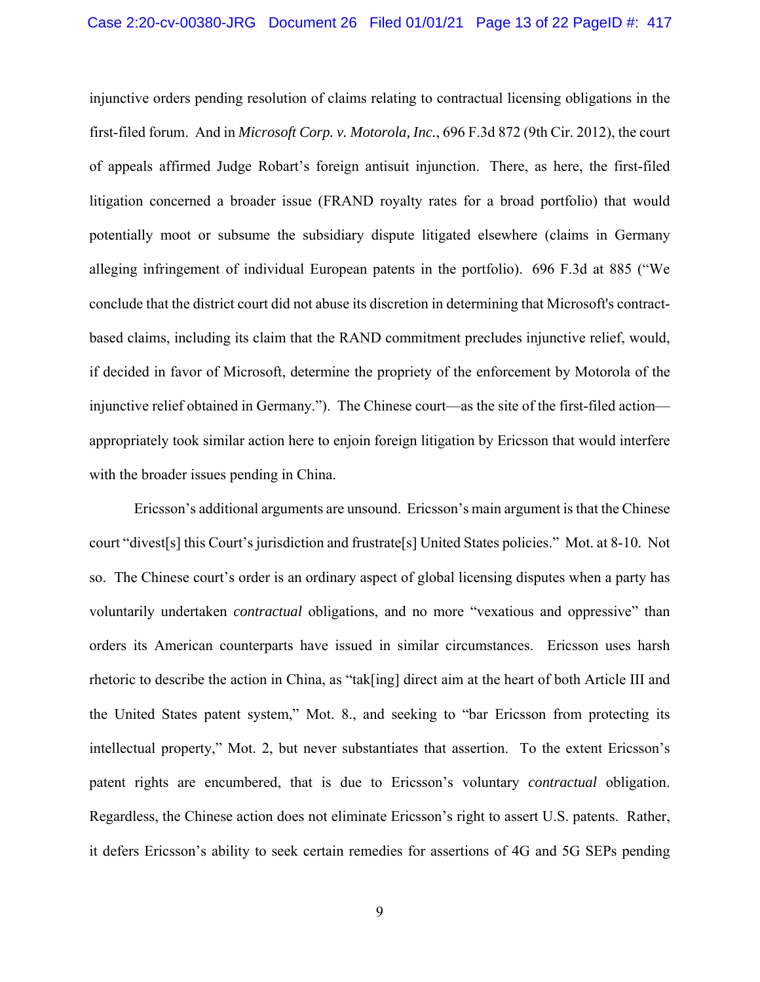injunctive orders pending resolution of claims relating to contractual licensing obligations in the first-filed forum. And in *Microsoft Corp. v. Motorola, Inc.*, 696 F.3d 872 (9th Cir. 2012), the court of appeals affirmed Judge Robart's foreign antisuit injunction. There, as here, the first-filed litigation concerned a broader issue (FRAND royalty rates for a broad portfolio) that would potentially moot or subsume the subsidiary dispute litigated elsewhere (claims in Germany alleging infringement of individual European patents in the portfolio). 696 F.3d at 885 ("We conclude that the district court did not abuse its discretion in determining that Microsoft's contractbased claims, including its claim that the RAND commitment precludes injunctive relief, would, if decided in favor of Microsoft, determine the propriety of the enforcement by Motorola of the injunctive relief obtained in Germany."). The Chinese court—as the site of the first-filed action appropriately took similar action here to enjoin foreign litigation by Ericsson that would interfere with the broader issues pending in China.

Ericsson's additional arguments are unsound. Ericsson's main argument is that the Chinese court "divest[s] this Court's jurisdiction and frustrate[s] United States policies." Mot. at 8-10. Not so. The Chinese court's order is an ordinary aspect of global licensing disputes when a party has voluntarily undertaken *contractual* obligations, and no more "vexatious and oppressive" than orders its American counterparts have issued in similar circumstances. Ericsson uses harsh rhetoric to describe the action in China, as "tak[ing] direct aim at the heart of both Article III and the United States patent system," Mot. 8., and seeking to "bar Ericsson from protecting its intellectual property," Mot. 2, but never substantiates that assertion. To the extent Ericsson's patent rights are encumbered, that is due to Ericsson's voluntary *contractual* obligation. Regardless, the Chinese action does not eliminate Ericsson's right to assert U.S. patents. Rather, it defers Ericsson's ability to seek certain remedies for assertions of 4G and 5G SEPs pending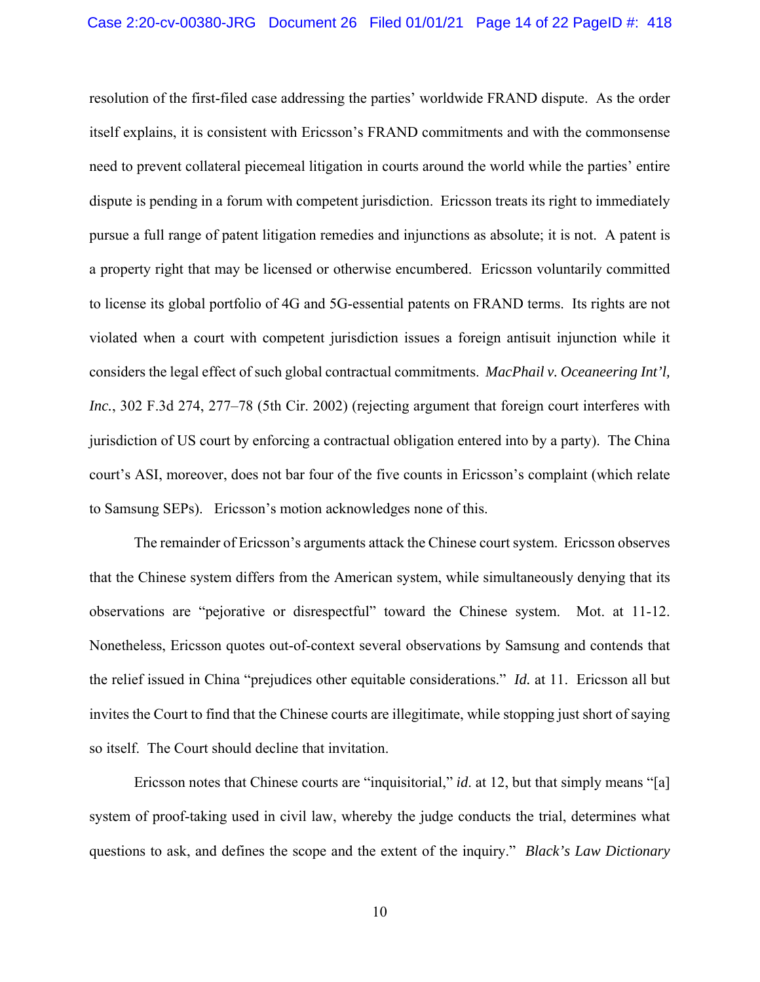resolution of the first-filed case addressing the parties' worldwide FRAND dispute. As the order itself explains, it is consistent with Ericsson's FRAND commitments and with the commonsense need to prevent collateral piecemeal litigation in courts around the world while the parties' entire dispute is pending in a forum with competent jurisdiction. Ericsson treats its right to immediately pursue a full range of patent litigation remedies and injunctions as absolute; it is not. A patent is a property right that may be licensed or otherwise encumbered. Ericsson voluntarily committed to license its global portfolio of 4G and 5G-essential patents on FRAND terms. Its rights are not violated when a court with competent jurisdiction issues a foreign antisuit injunction while it considers the legal effect of such global contractual commitments. *MacPhail v. Oceaneering Int'l, Inc.*, 302 F.3d 274, 277–78 (5th Cir. 2002) (rejecting argument that foreign court interferes with jurisdiction of US court by enforcing a contractual obligation entered into by a party). The China court's ASI, moreover, does not bar four of the five counts in Ericsson's complaint (which relate to Samsung SEPs). Ericsson's motion acknowledges none of this.

The remainder of Ericsson's arguments attack the Chinese court system. Ericsson observes that the Chinese system differs from the American system, while simultaneously denying that its observations are "pejorative or disrespectful" toward the Chinese system. Mot. at 11-12. Nonetheless, Ericsson quotes out-of-context several observations by Samsung and contends that the relief issued in China "prejudices other equitable considerations." *Id.* at 11. Ericsson all but invites the Court to find that the Chinese courts are illegitimate, while stopping just short of saying so itself. The Court should decline that invitation.

Ericsson notes that Chinese courts are "inquisitorial," *id*. at 12, but that simply means "[a] system of proof-taking used in civil law, whereby the judge conducts the trial, determines what questions to ask, and defines the scope and the extent of the inquiry." *Black's Law Dictionary*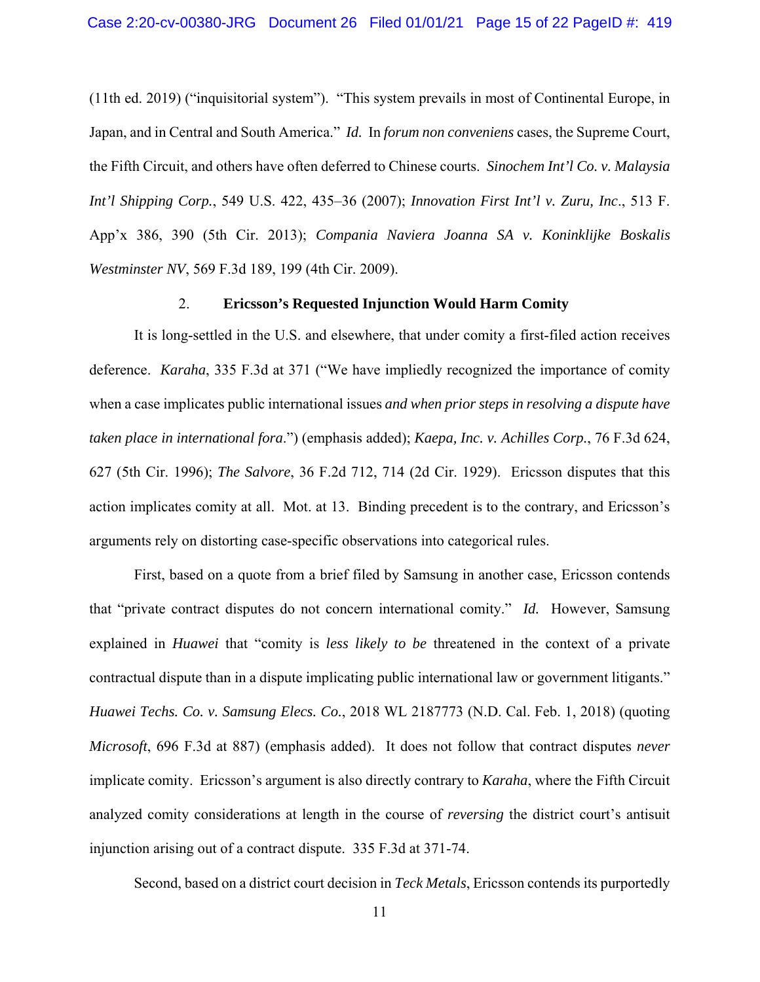(11th ed. 2019) ("inquisitorial system"). "This system prevails in most of Continental Europe, in Japan, and in Central and South America." *Id.* In *forum non conveniens* cases, the Supreme Court, the Fifth Circuit, and others have often deferred to Chinese courts. *Sinochem Int'l Co. v. Malaysia Int'l Shipping Corp.*, 549 U.S. 422, 435–36 (2007); *Innovation First Int'l v. Zuru, Inc*., 513 F. App'x 386, 390 (5th Cir. 2013); *Compania Naviera Joanna SA v. Koninklijke Boskalis Westminster NV*, 569 F.3d 189, 199 (4th Cir. 2009).

#### 2. **Ericsson's Requested Injunction Would Harm Comity**

It is long-settled in the U.S. and elsewhere, that under comity a first-filed action receives deference. *Karaha*, 335 F.3d at 371 ("We have impliedly recognized the importance of comity when a case implicates public international issues *and when prior steps in resolving a dispute have taken place in international fora*.") (emphasis added); *Kaepa, Inc. v. Achilles Corp.*, 76 F.3d 624, 627 (5th Cir. 1996); *The Salvore*, 36 F.2d 712, 714 (2d Cir. 1929). Ericsson disputes that this action implicates comity at all. Mot. at 13. Binding precedent is to the contrary, and Ericsson's arguments rely on distorting case-specific observations into categorical rules.

First, based on a quote from a brief filed by Samsung in another case, Ericsson contends that "private contract disputes do not concern international comity." *Id.* However, Samsung explained in *Huawei* that "comity is *less likely to be* threatened in the context of a private contractual dispute than in a dispute implicating public international law or government litigants." *Huawei Techs. Co. v. Samsung Elecs. Co.*, 2018 WL 2187773 (N.D. Cal. Feb. 1, 2018) (quoting *Microsoft*, 696 F.3d at 887) (emphasis added). It does not follow that contract disputes *never* implicate comity. Ericsson's argument is also directly contrary to *Karaha*, where the Fifth Circuit analyzed comity considerations at length in the course of *reversing* the district court's antisuit injunction arising out of a contract dispute. 335 F.3d at 371-74.

Second, based on a district court decision in *Teck Metals*, Ericsson contends its purportedly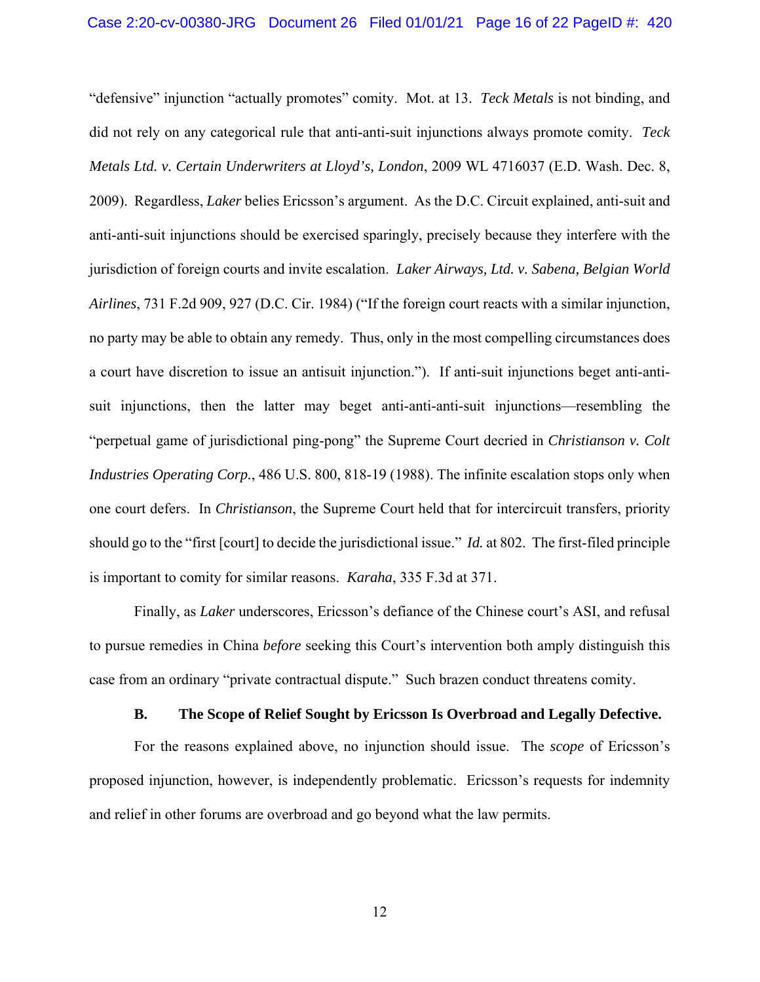"defensive" injunction "actually promotes" comity. Mot. at 13. *Teck Metals* is not binding, and did not rely on any categorical rule that anti-anti-suit injunctions always promote comity. *Teck Metals Ltd. v. Certain Underwriters at Lloyd's, London*, 2009 WL 4716037 (E.D. Wash. Dec. 8, 2009). Regardless, *Laker* belies Ericsson's argument. As the D.C. Circuit explained, anti-suit and anti-anti-suit injunctions should be exercised sparingly, precisely because they interfere with the jurisdiction of foreign courts and invite escalation. *Laker Airways, Ltd. v. Sabena, Belgian World Airlines*, 731 F.2d 909, 927 (D.C. Cir. 1984) ("If the foreign court reacts with a similar injunction, no party may be able to obtain any remedy. Thus, only in the most compelling circumstances does a court have discretion to issue an antisuit injunction."). If anti-suit injunctions beget anti-antisuit injunctions, then the latter may beget anti-anti-anti-suit injunctions—resembling the "perpetual game of jurisdictional ping-pong" the Supreme Court decried in *Christianson v. Colt Industries Operating Corp.*, 486 U.S. 800, 818-19 (1988). The infinite escalation stops only when one court defers. In *Christianson*, the Supreme Court held that for intercircuit transfers, priority should go to the "first [court] to decide the jurisdictional issue." *Id.* at 802. The first-filed principle is important to comity for similar reasons. *Karaha*, 335 F.3d at 371.

Finally, as *Laker* underscores, Ericsson's defiance of the Chinese court's ASI, and refusal to pursue remedies in China *before* seeking this Court's intervention both amply distinguish this case from an ordinary "private contractual dispute." Such brazen conduct threatens comity.

#### **B. The Scope of Relief Sought by Ericsson Is Overbroad and Legally Defective.**

 For the reasons explained above, no injunction should issue. The *scope* of Ericsson's proposed injunction, however, is independently problematic. Ericsson's requests for indemnity and relief in other forums are overbroad and go beyond what the law permits.

12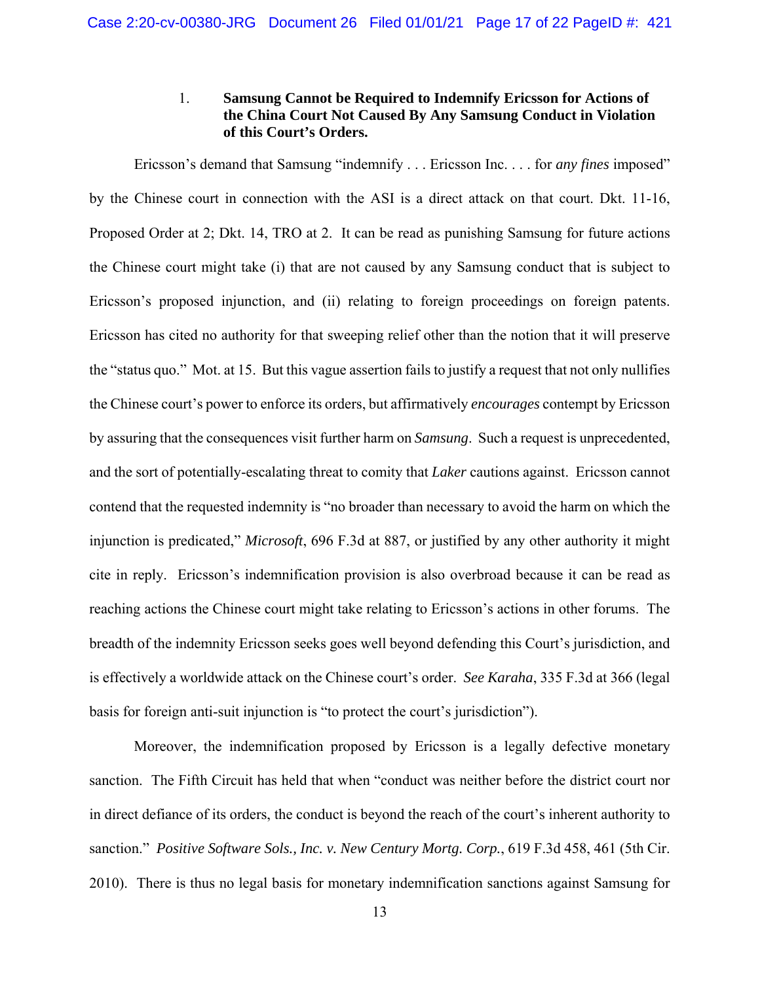## 1. **Samsung Cannot be Required to Indemnify Ericsson for Actions of the China Court Not Caused By Any Samsung Conduct in Violation of this Court's Orders.**

Ericsson's demand that Samsung "indemnify . . . Ericsson Inc. . . . for *any fines* imposed" by the Chinese court in connection with the ASI is a direct attack on that court. Dkt. 11-16, Proposed Order at 2; Dkt. 14, TRO at 2. It can be read as punishing Samsung for future actions the Chinese court might take (i) that are not caused by any Samsung conduct that is subject to Ericsson's proposed injunction, and (ii) relating to foreign proceedings on foreign patents. Ericsson has cited no authority for that sweeping relief other than the notion that it will preserve the "status quo." Mot. at 15. But this vague assertion fails to justify a request that not only nullifies the Chinese court's power to enforce its orders, but affirmatively *encourages* contempt by Ericsson by assuring that the consequences visit further harm on *Samsung*. Such a request is unprecedented, and the sort of potentially-escalating threat to comity that *Laker* cautions against. Ericsson cannot contend that the requested indemnity is "no broader than necessary to avoid the harm on which the injunction is predicated," *Microsoft*, 696 F.3d at 887, or justified by any other authority it might cite in reply. Ericsson's indemnification provision is also overbroad because it can be read as reaching actions the Chinese court might take relating to Ericsson's actions in other forums. The breadth of the indemnity Ericsson seeks goes well beyond defending this Court's jurisdiction, and is effectively a worldwide attack on the Chinese court's order. *See Karaha*, 335 F.3d at 366 (legal basis for foreign anti-suit injunction is "to protect the court's jurisdiction").

Moreover, the indemnification proposed by Ericsson is a legally defective monetary sanction. The Fifth Circuit has held that when "conduct was neither before the district court nor in direct defiance of its orders, the conduct is beyond the reach of the court's inherent authority to sanction." *Positive Software Sols., Inc. v. New Century Mortg. Corp.*, 619 F.3d 458, 461 (5th Cir. 2010). There is thus no legal basis for monetary indemnification sanctions against Samsung for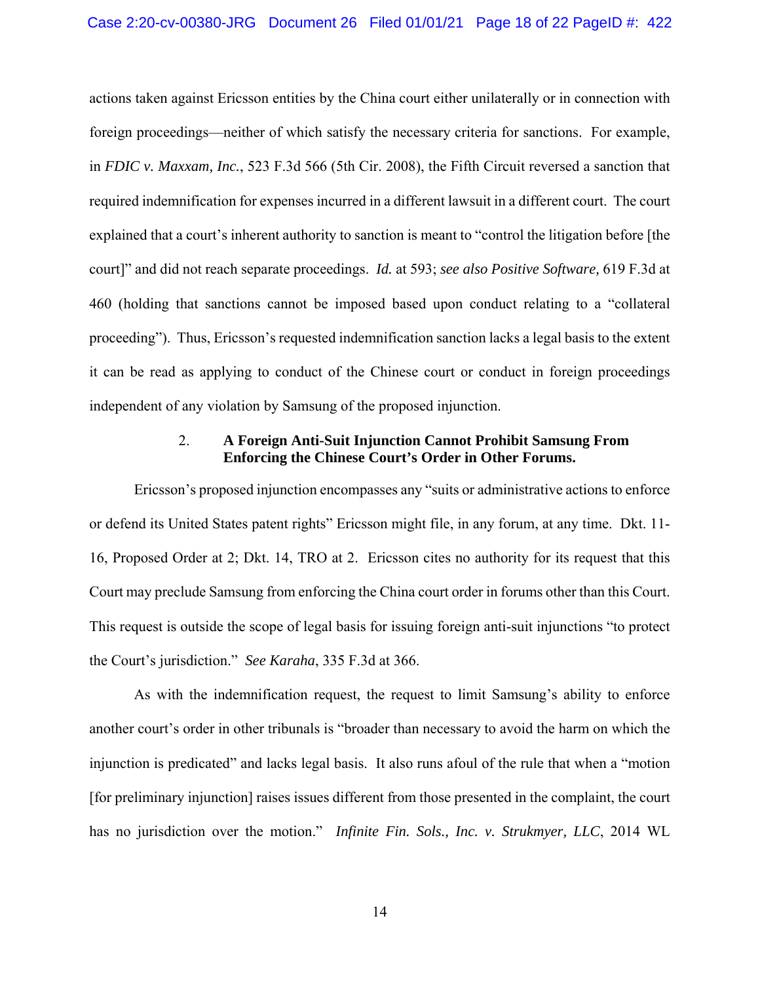actions taken against Ericsson entities by the China court either unilaterally or in connection with foreign proceedings—neither of which satisfy the necessary criteria for sanctions. For example, in *FDIC v. Maxxam, Inc.*, 523 F.3d 566 (5th Cir. 2008), the Fifth Circuit reversed a sanction that required indemnification for expenses incurred in a different lawsuit in a different court. The court explained that a court's inherent authority to sanction is meant to "control the litigation before [the court]" and did not reach separate proceedings. *Id.* at 593; *see also Positive Software,* 619 F.3d at 460 (holding that sanctions cannot be imposed based upon conduct relating to a "collateral proceeding"). Thus, Ericsson's requested indemnification sanction lacks a legal basis to the extent it can be read as applying to conduct of the Chinese court or conduct in foreign proceedings independent of any violation by Samsung of the proposed injunction.

## 2. **A Foreign Anti-Suit Injunction Cannot Prohibit Samsung From Enforcing the Chinese Court's Order in Other Forums.**

Ericsson's proposed injunction encompasses any "suits or administrative actions to enforce or defend its United States patent rights" Ericsson might file, in any forum, at any time. Dkt. 11- 16, Proposed Order at 2; Dkt. 14, TRO at 2. Ericsson cites no authority for its request that this Court may preclude Samsung from enforcing the China court order in forums other than this Court. This request is outside the scope of legal basis for issuing foreign anti-suit injunctions "to protect the Court's jurisdiction." *See Karaha*, 335 F.3d at 366.

As with the indemnification request, the request to limit Samsung's ability to enforce another court's order in other tribunals is "broader than necessary to avoid the harm on which the injunction is predicated" and lacks legal basis. It also runs afoul of the rule that when a "motion [for preliminary injunction] raises issues different from those presented in the complaint, the court has no jurisdiction over the motion." *Infinite Fin. Sols., Inc. v. Strukmyer, LLC*, 2014 WL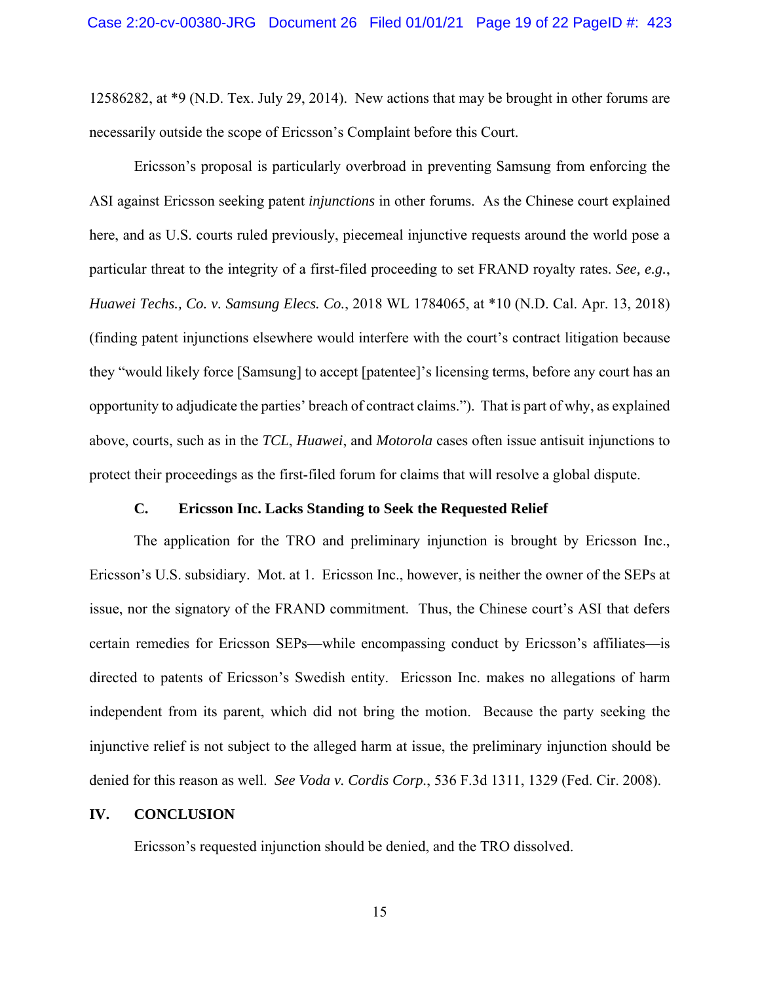12586282, at \*9 (N.D. Tex. July 29, 2014). New actions that may be brought in other forums are necessarily outside the scope of Ericsson's Complaint before this Court.

Ericsson's proposal is particularly overbroad in preventing Samsung from enforcing the ASI against Ericsson seeking patent *injunctions* in other forums. As the Chinese court explained here, and as U.S. courts ruled previously, piecemeal injunctive requests around the world pose a particular threat to the integrity of a first-filed proceeding to set FRAND royalty rates. *See, e.g.*, *Huawei Techs., Co. v. Samsung Elecs. Co.*, 2018 WL 1784065, at \*10 (N.D. Cal. Apr. 13, 2018) (finding patent injunctions elsewhere would interfere with the court's contract litigation because they "would likely force [Samsung] to accept [patentee]'s licensing terms, before any court has an opportunity to adjudicate the parties' breach of contract claims."). That is part of why, as explained above, courts, such as in the *TCL*, *Huawei*, and *Motorola* cases often issue antisuit injunctions to protect their proceedings as the first-filed forum for claims that will resolve a global dispute.

#### **C. Ericsson Inc. Lacks Standing to Seek the Requested Relief**

The application for the TRO and preliminary injunction is brought by Ericsson Inc., Ericsson's U.S. subsidiary. Mot. at 1. Ericsson Inc., however, is neither the owner of the SEPs at issue, nor the signatory of the FRAND commitment. Thus, the Chinese court's ASI that defers certain remedies for Ericsson SEPs—while encompassing conduct by Ericsson's affiliates—is directed to patents of Ericsson's Swedish entity. Ericsson Inc. makes no allegations of harm independent from its parent, which did not bring the motion. Because the party seeking the injunctive relief is not subject to the alleged harm at issue, the preliminary injunction should be denied for this reason as well. *See Voda v. Cordis Corp.*, 536 F.3d 1311, 1329 (Fed. Cir. 2008).

#### **IV. CONCLUSION**

Ericsson's requested injunction should be denied, and the TRO dissolved.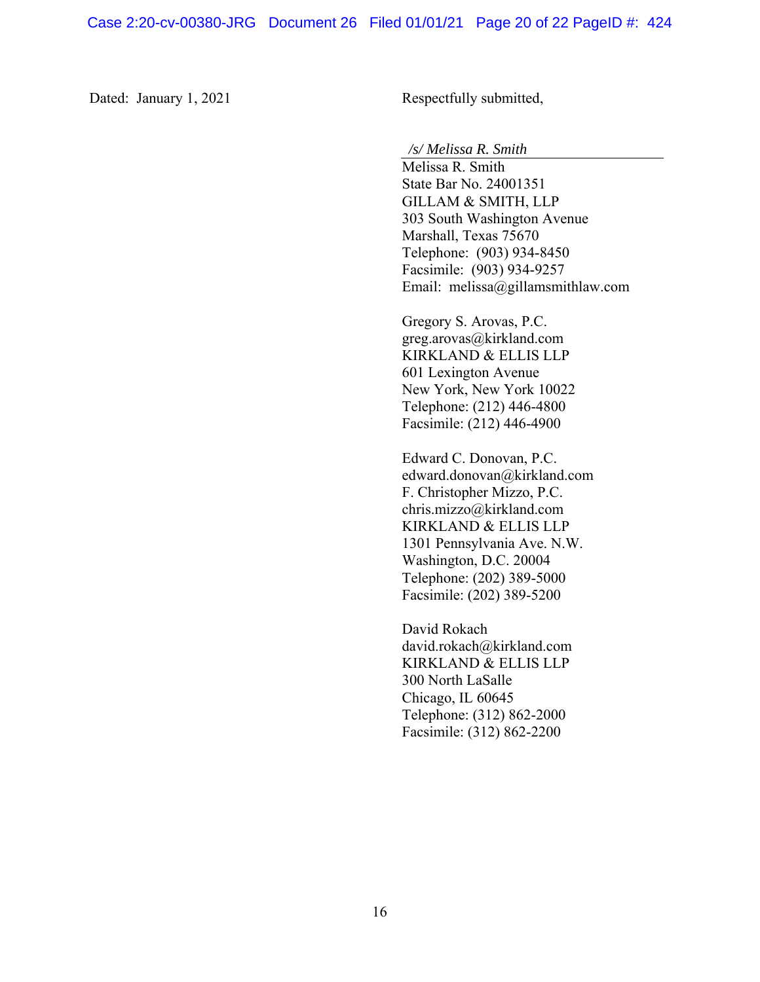Dated: January 1, 2021 Respectfully submitted,

*/s/ Melissa R. Smith* 

 Melissa R. Smith State Bar No. 24001351 GILLAM & SMITH, LLP 303 South Washington Avenue Marshall, Texas 75670 Telephone: (903) 934-8450 Facsimile: (903) 934-9257 Email: melissa@gillamsmithlaw.com

Gregory S. Arovas, P.C. greg.arovas@kirkland.com KIRKLAND & ELLIS LLP 601 Lexington Avenue New York, New York 10022 Telephone: (212) 446-4800 Facsimile: (212) 446-4900

Edward C. Donovan, P.C. edward.donovan@kirkland.com F. Christopher Mizzo, P.C. chris.mizzo@kirkland.com KIRKLAND & ELLIS LLP 1301 Pennsylvania Ave. N.W. Washington, D.C. 20004 Telephone: (202) 389-5000 Facsimile: (202) 389-5200

David Rokach david.rokach@kirkland.com KIRKLAND & ELLIS LLP 300 North LaSalle Chicago, IL 60645 Telephone: (312) 862-2000 Facsimile: (312) 862-2200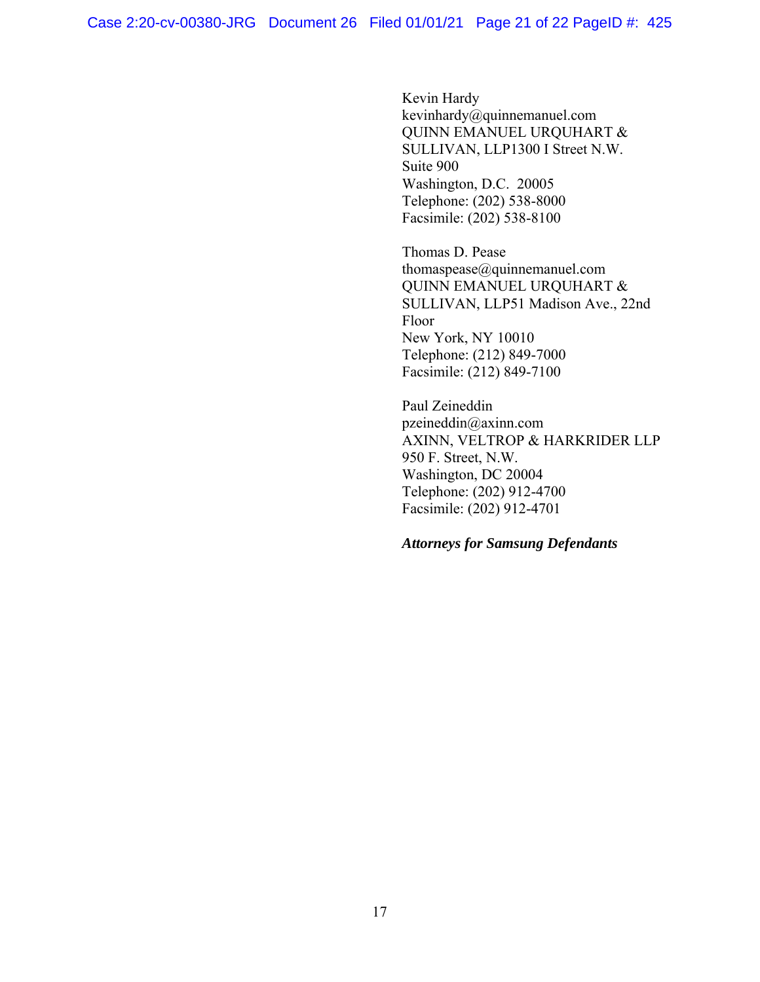Kevin Hardy kevinhardy@quinnemanuel.com QUINN EMANUEL URQUHART & SULLIVAN, LLP1300 I Street N.W. Suite 900 Washington, D.C. 20005 Telephone: (202) 538-8000 Facsimile: (202) 538-8100

Thomas D. Pease thomaspease@quinnemanuel.com QUINN EMANUEL URQUHART & SULLIVAN, LLP51 Madison Ave., 22nd Floor New York, NY 10010 Telephone: (212) 849-7000 Facsimile: (212) 849-7100

Paul Zeineddin pzeineddin@axinn.com AXINN, VELTROP & HARKRIDER LLP 950 F. Street, N.W. Washington, DC 20004 Telephone: (202) 912-4700 Facsimile: (202) 912-4701

## *Attorneys for Samsung Defendants*